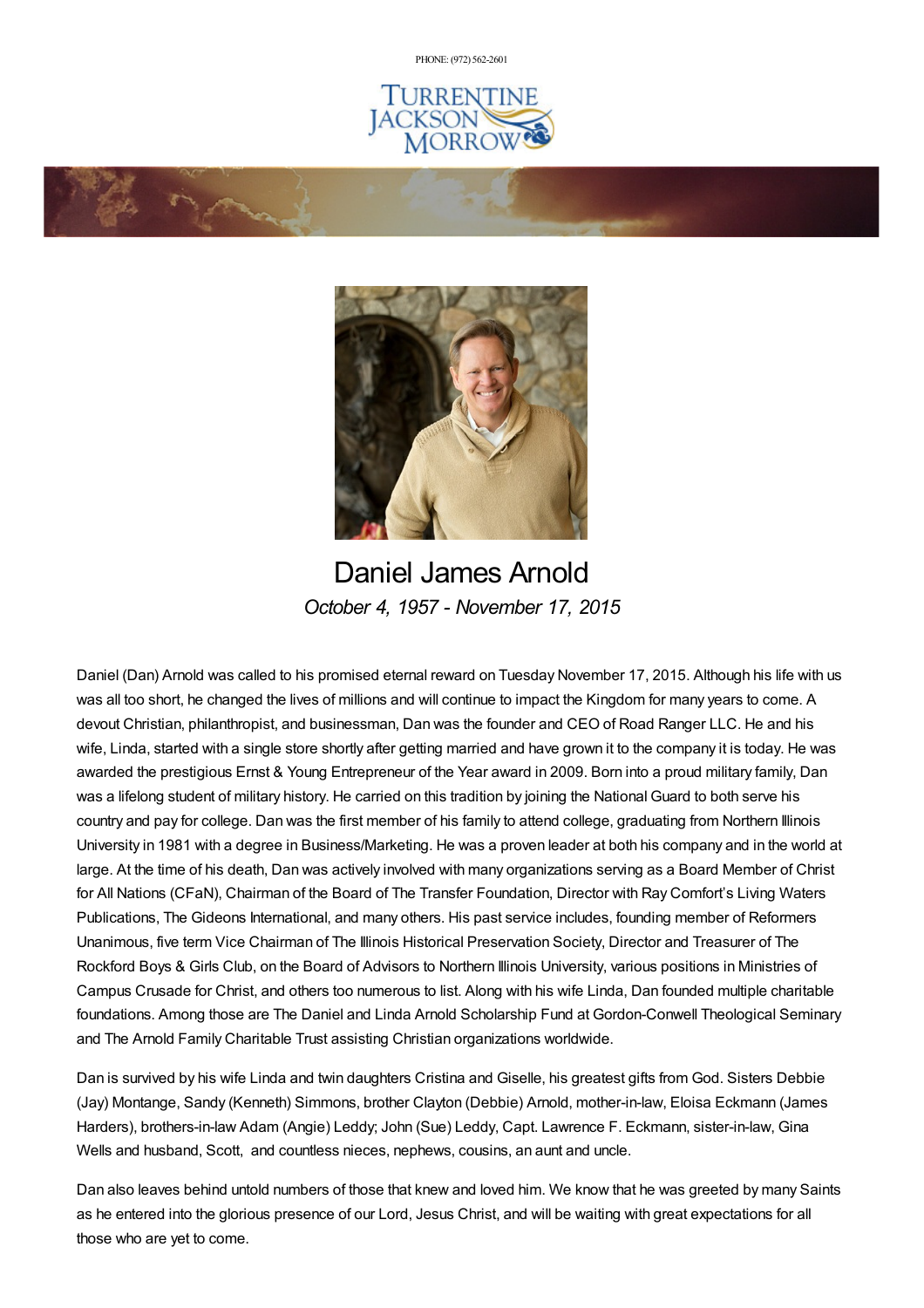PHONE: (972) [562-2601](tel:(972) 562-2601)





Daniel James Arnold *October 4, 1957 - November 17, 2015*

Daniel (Dan) Arnold was called to his promised eternal reward on Tuesday November 17, 2015. Although his life with us was all too short, he changed the lives of millions and will continue to impact the Kingdom for many years to come. A devout Christian, philanthropist, and businessman, Dan was the founder and CEO of Road Ranger LLC. He and his wife, Linda, started with a single store shortly after getting married and have grown it to the company it is today. He was awarded the prestigious Ernst & Young Entrepreneur of the Year award in 2009. Born into a proud military family, Dan was a lifelong student of military history. He carried on this tradition by joining the National Guard to both serve his country and pay for college. Dan was the first member of his family to attend college, graduating from Northern Illinois University in 1981 with a degree in Business/Marketing. He was a proven leader at both his company and in the world at large. At the time of his death, Dan was actively involved with many organizations serving as a Board Member of Christ for All Nations (CFaN), Chairman of the Board of The Transfer Foundation, Director with Ray Comfort's Living Waters Publications, The Gideons International, and many others. His past service includes, founding member of Reformers Unanimous, five term Vice Chairman of The Illinois Historical Preservation Society, Director and Treasurer of The Rockford Boys & Girls Club, on the Board of Advisors to Northern Illinois University, various positions in Ministries of Campus Crusade for Christ, and others too numerous to list. Along with his wife Linda, Dan founded multiple charitable foundations. Among those are The Daniel and Linda Arnold Scholarship Fund at Gordon-Conwell Theological Seminary and The Arnold Family Charitable Trust assisting Christian organizations worldwide.

Dan is survived by his wife Linda and twin daughters Cristina and Giselle, his greatest gifts from God. Sisters Debbie (Jay) Montange, Sandy (Kenneth) Simmons, brother Clayton (Debbie) Arnold, mother-in-law, Eloisa Eckmann (James Harders), brothers-in-law Adam (Angie) Leddy; John (Sue) Leddy, Capt. Lawrence F. Eckmann, sister-in-law, Gina Wells and husband, Scott, and countless nieces, nephews, cousins, an aunt and uncle.

Dan also leaves behind untold numbers of those that knew and loved him. We know that he was greeted by many Saints as he entered into the glorious presence of our Lord, Jesus Christ, and will be waiting with great expectations for all those who are yet to come.